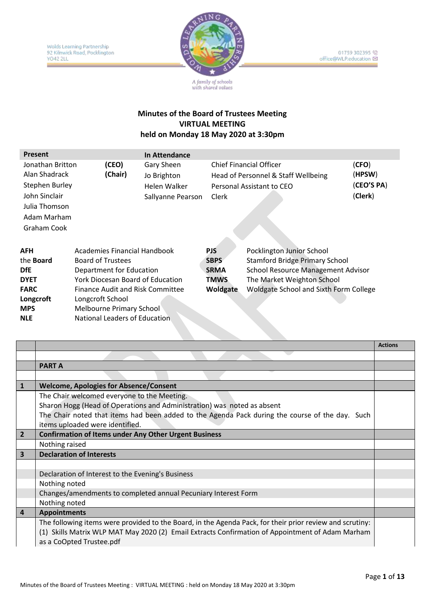

# **Minutes of the Board of Trustees Meeting VIRTUAL MEETING**

## **held on Monday 18 May 2020 at 3:30pm**

| <b>Present</b>                                                                                                             |                                                                                                                                                                                                                                               | <b>In Attendance</b>                                           |                                                                     |                                                                                                                                                                                  |                                          |
|----------------------------------------------------------------------------------------------------------------------------|-----------------------------------------------------------------------------------------------------------------------------------------------------------------------------------------------------------------------------------------------|----------------------------------------------------------------|---------------------------------------------------------------------|----------------------------------------------------------------------------------------------------------------------------------------------------------------------------------|------------------------------------------|
| Jonathan Britton<br>Alan Shadrack<br><b>Stephen Burley</b><br>John Sinclair<br>Julia Thomson<br>Adam Marham<br>Graham Cook | (CEO)<br>(Chair)                                                                                                                                                                                                                              | Gary Sheen<br>Jo Brighton<br>Helen Walker<br>Sallyanne Pearson | Clerk                                                               | <b>Chief Financial Officer</b><br>Head of Personnel & Staff Wellbeing<br>Personal Assistant to CEO                                                                               | (CFO)<br>(HPSW)<br>(CEO'S PA)<br>(Clerk) |
| <b>AFH</b><br>the <b>Board</b><br><b>DfE</b><br><b>DYET</b><br><b>FARC</b><br>Longcroft<br><b>MPS</b><br><b>NLE</b>        | Academies Financial Handbook<br>Board of Trustees<br>Department for Education<br><b>York Diocesan Board of Education</b><br>Finance Audit and Risk Committee<br>Longcroft School<br>Melbourne Primary School<br>National Leaders of Education |                                                                | <b>PJS</b><br><b>SBPS</b><br><b>SRMA</b><br><b>TMWS</b><br>Woldgate | Pocklington Junior School<br><b>Stamford Bridge Primary School</b><br>School Resource Management Advisor<br>The Market Weighton School<br>Woldgate School and Sixth Form College |                                          |

|                         |                                                                                                          | <b>Actions</b> |
|-------------------------|----------------------------------------------------------------------------------------------------------|----------------|
|                         |                                                                                                          |                |
|                         | <b>PART A</b>                                                                                            |                |
|                         |                                                                                                          |                |
| $\mathbf{1}$            | <b>Welcome, Apologies for Absence/Consent</b>                                                            |                |
|                         | The Chair welcomed everyone to the Meeting.                                                              |                |
|                         | Sharon Hogg (Head of Operations and Administration) was noted as absent                                  |                |
|                         | The Chair noted that items had been added to the Agenda Pack during the course of the day. Such          |                |
|                         | items uploaded were identified.                                                                          |                |
| $\overline{2}$          | <b>Confirmation of Items under Any Other Urgent Business</b>                                             |                |
|                         | Nothing raised                                                                                           |                |
| $\overline{\mathbf{3}}$ | <b>Declaration of Interests</b>                                                                          |                |
|                         |                                                                                                          |                |
|                         | Declaration of Interest to the Evening's Business                                                        |                |
|                         | Nothing noted                                                                                            |                |
|                         | Changes/amendments to completed annual Pecuniary Interest Form                                           |                |
|                         | Nothing noted                                                                                            |                |
| $\overline{4}$          | <b>Appointments</b>                                                                                      |                |
|                         | The following items were provided to the Board, in the Agenda Pack, for their prior review and scrutiny: |                |
|                         | (1) Skills Matrix WLP MAT May 2020 (2) Email Extracts Confirmation of Appointment of Adam Marham         |                |
|                         | as a CoOpted Trustee.pdf                                                                                 |                |
|                         |                                                                                                          |                |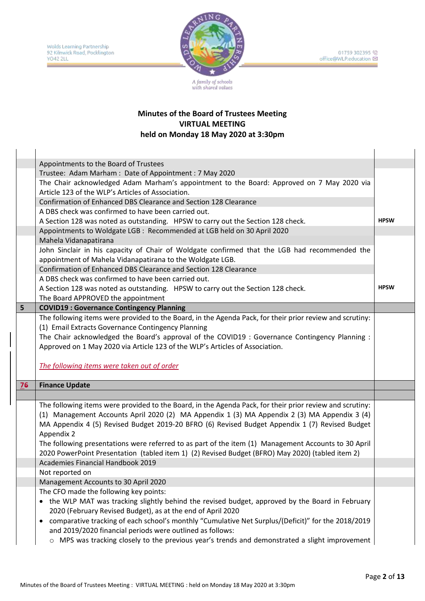

|                | Appointments to the Board of Trustees                                                                                                                                                                                                                                                                      |             |
|----------------|------------------------------------------------------------------------------------------------------------------------------------------------------------------------------------------------------------------------------------------------------------------------------------------------------------|-------------|
|                | Trustee: Adam Marham: Date of Appointment: 7 May 2020                                                                                                                                                                                                                                                      |             |
|                | The Chair acknowledged Adam Marham's appointment to the Board: Approved on 7 May 2020 via<br>Article 123 of the WLP's Articles of Association.                                                                                                                                                             |             |
|                | Confirmation of Enhanced DBS Clearance and Section 128 Clearance                                                                                                                                                                                                                                           |             |
|                | A DBS check was confirmed to have been carried out.                                                                                                                                                                                                                                                        |             |
|                | A Section 128 was noted as outstanding. HPSW to carry out the Section 128 check.                                                                                                                                                                                                                           | <b>HPSW</b> |
|                | Appointments to Woldgate LGB : Recommended at LGB held on 30 April 2020                                                                                                                                                                                                                                    |             |
|                | Mahela Vidanapatirana                                                                                                                                                                                                                                                                                      |             |
|                | John Sinclair in his capacity of Chair of Woldgate confirmed that the LGB had recommended the                                                                                                                                                                                                              |             |
|                | appointment of Mahela Vidanapatirana to the Woldgate LGB.                                                                                                                                                                                                                                                  |             |
|                | Confirmation of Enhanced DBS Clearance and Section 128 Clearance                                                                                                                                                                                                                                           |             |
|                | A DBS check was confirmed to have been carried out.                                                                                                                                                                                                                                                        |             |
|                | A Section 128 was noted as outstanding. HPSW to carry out the Section 128 check.                                                                                                                                                                                                                           | <b>HPSW</b> |
|                | The Board APPROVED the appointment                                                                                                                                                                                                                                                                         |             |
| 5 <sup>1</sup> | <b>COVID19: Governance Contingency Planning</b>                                                                                                                                                                                                                                                            |             |
|                | The following items were provided to the Board, in the Agenda Pack, for their prior review and scrutiny:                                                                                                                                                                                                   |             |
|                | (1) Email Extracts Governance Contingency Planning                                                                                                                                                                                                                                                         |             |
|                | The Chair acknowledged the Board's approval of the COVID19 : Governance Contingency Planning :                                                                                                                                                                                                             |             |
|                | Approved on 1 May 2020 via Article 123 of the WLP's Articles of Association.                                                                                                                                                                                                                               |             |
|                |                                                                                                                                                                                                                                                                                                            |             |
|                |                                                                                                                                                                                                                                                                                                            |             |
|                | The following items were taken out of order                                                                                                                                                                                                                                                                |             |
|                |                                                                                                                                                                                                                                                                                                            |             |
| 76             | <b>Finance Update</b>                                                                                                                                                                                                                                                                                      |             |
|                |                                                                                                                                                                                                                                                                                                            |             |
|                | The following items were provided to the Board, in the Agenda Pack, for their prior review and scrutiny:<br>(1) Management Accounts April 2020 (2) MA Appendix 1 (3) MA Appendix 2 (3) MA Appendix 3 (4)<br>MA Appendix 4 (5) Revised Budget 2019-20 BFRO (6) Revised Budget Appendix 1 (7) Revised Budget |             |
|                | Appendix 2<br>The following presentations were referred to as part of the item (1) Management Accounts to 30 April                                                                                                                                                                                         |             |
|                | 2020 PowerPoint Presentation (tabled item 1) (2) Revised Budget (BFRO) May 2020) (tabled item 2)                                                                                                                                                                                                           |             |
|                | Academies Financial Handbook 2019                                                                                                                                                                                                                                                                          |             |
|                | Not reported on                                                                                                                                                                                                                                                                                            |             |
|                | Management Accounts to 30 April 2020                                                                                                                                                                                                                                                                       |             |
|                | The CFO made the following key points:                                                                                                                                                                                                                                                                     |             |
|                | • the WLP MAT was tracking slightly behind the revised budget, approved by the Board in February<br>2020 (February Revised Budget), as at the end of April 2020                                                                                                                                            |             |
|                | comparative tracking of each school's monthly "Cumulative Net Surplus/(Deficit)" for the 2018/2019<br>$\bullet$                                                                                                                                                                                            |             |
|                | and 2019/2020 financial periods were outlined as follows:                                                                                                                                                                                                                                                  |             |
|                | o MPS was tracking closely to the previous year's trends and demonstrated a slight improvement                                                                                                                                                                                                             |             |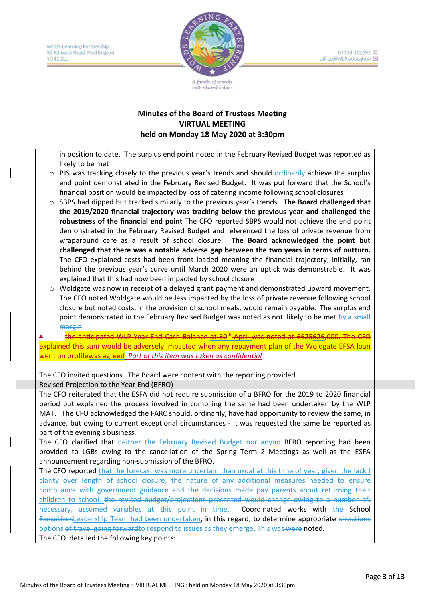Wolds Learning Partnership 92 Kilnwick Road, Pocklington YO42 2LL



01759 302395 (2) office@WLP.education

#### **Minutes of the Board of Trustees Meeting VIRTUAL MEETING held on Monday 18 May 2020 at 3:30pm**

with shared values

in position to date. The surplus end point noted in the February Revised Budget was reported as likely to be met

- $\circ$  PJS was tracking closely to the previous year's trends and should ordinarily achieve the surplus end point demonstrated in the February Revised Budget. It was put forward that the School's financial position would be impacted by loss of catering income following school closures
- o SBPS had dipped but tracked similarly to the previous year's trends. **The Board challenged that the 2019/2020 financial trajectory was tracking below the previous year and challenged the robustness of the financial end point** The CFO reported SBPS would not achieve the end point demonstrated in the February Revised Budget and referenced the loss of private revenue from wraparound care as a result of school closure. **The Board acknowledged the point but challenged that there was a notable adverse gap between the two years in terms of outturn.**  The CFO explained costs had been front loaded meaning the financial trajectory, initially, ran behind the previous year's curve until March 2020 were an uptick was demonstrable. It was explained that this had now been impacted by school closure
- o Woldgate was now in receipt of a delayed grant payment and demonstrated upward movement. The CFO noted Woldgate would be less impacted by the loss of private revenue following school closure but noted costs, in the provision of school meals, would remain payable. The surplus end point demonstrated in the February Revised Budget was noted as not likely to be met by a small margin

the anticipated WLP Year End Cash Balance at 30<sup>th</sup> April was noted at £625626,000. The CFO explained this sum would be adversely impacted when any repayment plan of the Woldgate EFSA loan went on profilewas agreed *Part of this item was taken as confidential*

The CFO invited questions. The Board were content with the reporting provided.

Revised Projection to the Year End (BFRO)

The CFO reiterated that the ESFA did not require submission of a BFRO for the 2019 to 2020 financial period but explained the process involved in compiling the same had been undertaken by the WLP MAT. The CFO acknowledged the FARC should, ordinarily, have had opportunity to review the same, in advance, but owing to current exceptional circumstances - it was requested the same be reported as part of the evening's business.

The CFO clarified that neither the February Revised Budget nor anyno BFRO reporting had been provided to LGBs owing to the cancellation of the Spring Term 2 Meetings as well as the ESFA announcement regarding non-submission of the BFRO.

The CFO reported that the forecast was more uncertain than usual at this time of year, given the lack f clarity over length of school closure, the nature of any additional measures needed to ensure compliance with government guidance and the decisions made pay parents about returning their children to school. the revised budget/projections presented would change owing to a number of, necessary, assumed variables at this point in time. Coordinated works with the School ExecutivesLeadership Team had been undertaken, in this regard, to determine appropriate directions options of travel going forward to respond to issues as they emerge. This was were noted.

The CFO detailed the following key points: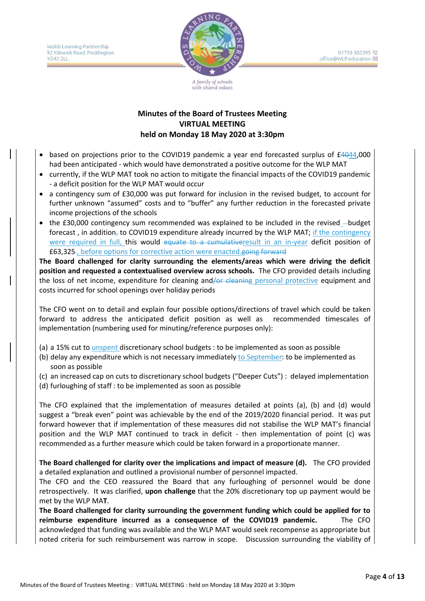Wolds Learning Partnership 92 Kilnwick Road, Pocklington YO42 2LL



A family of schools with shared values

#### **Minutes of the Board of Trustees Meeting VIRTUAL MEETING held on Monday 18 May 2020 at 3:30pm**

- based on projections prior to the COVID19 pandemic a year end forecasted surplus of £4044,000 had been anticipated - which would have demonstrated a positive outcome for the WLP MAT
- currently, if the WLP MAT took no action to mitigate the financial impacts of the COVID19 pandemic - a deficit position for the WLP MAT would occur
- a contingency sum of £30,000 was put forward for inclusion in the revised budget, to account for further unknown "assumed" costs and to "buffer" any further reduction in the forecasted private income projections of the schools
- $\bullet$  the £30,000 contingency sum recommended was explained to be included in the revised  $-$ budget forecast, in addition, to COVID19 expenditure already incurred by the WLP MAT; if the contingency were required in full, this would equate to a cumulative result in an in-year deficit position of £63,325 , before options for corrective action were enacted.going forward

**The Board challenged for clarity surrounding the elements/areas which were driving the deficit position and requested a contextualised overview across schools.** The CFO provided details including the loss of net income, expenditure for cleaning and/or cleaning personal protective equipment and costs incurred for school openings over holiday periods

The CFO went on to detail and explain four possible options/directions of travel which could be taken forward to address the anticipated deficit position as well as recommended timescales of implementation (numbering used for minuting/reference purposes only):

- (a) a 15% cut to unspent discretionary school budgets : to be implemented as soon as possible
- (b) delay any expenditure which is not necessary immediately to September: to be implemented as soon as possible
- (c) an increased cap on cuts to discretionary school budgets ("Deeper Cuts") : delayed implementation
- (d) furloughing of staff : to be implemented as soon as possible

The CFO explained that the implementation of measures detailed at points (a), (b) and (d) would suggest a "break even" point was achievable by the end of the 2019/2020 financial period. It was put forward however that if implementation of these measures did not stabilise the WLP MAT's financial position and the WLP MAT continued to track in deficit - then implementation of point (c) was recommended as a further measure which could be taken forward in a proportionate manner.

**The Board challenged for clarity over the implications and impact of measure (d).** The CFO provided a detailed explanation and outlined a provisional number of personnel impacted.

The CFO and the CEO reassured the Board that any furloughing of personnel would be done retrospectively. It was clarified, **upon challenge** that the 20% discretionary top up payment would be met by the WLP MA**T**.

**The Board challenged for clarity surrounding the government funding which could be applied for to reimburse expenditure incurred as a consequence of the COVID19 pandemic.** The CFO acknowledged that funding was available and the WLP MAT would seek recompense as appropriate but noted criteria for such reimbursement was narrow in scope. Discussion surrounding the viability of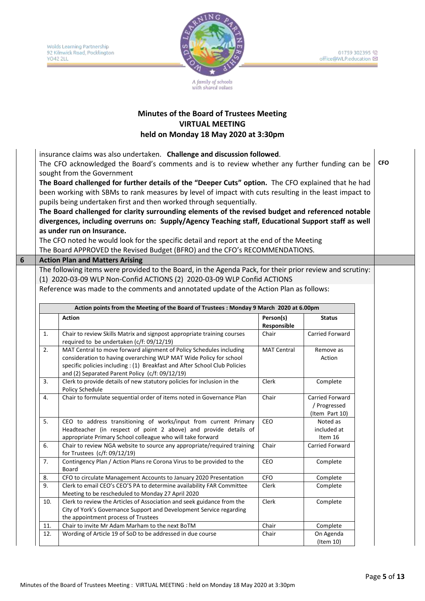

#### **Minutes of the Board of Trustees Meeting VIRTUAL MEETING held on Monday 18 May 2020 at 3:30pm**

insurance claims was also undertaken. **Challenge and discussion followed**.

The CFO acknowledged the Board's comments and is to review whether any further funding can be sought from the Government **CFO**

**The Board challenged for further details of the "Deeper Cuts" option.** The CFO explained that he had been working with SBMs to rank measures by level of impact with cuts resulting in the least impact to pupils being undertaken first and then worked through sequentially.

**The Board challenged for clarity surrounding elements of the revised budget and referenced notable divergences, including overruns on: Supply/Agency Teaching staff, Educational Support staff as well as under run on Insurance.** 

The CFO noted he would look for the specific detail and report at the end of the Meeting The Board APPROVED the Revised Budget (BFRO) and the CFO's RECOMMENDATIONS.

#### **6 Action Plan and Matters Arising**

The following items were provided to the Board, in the Agenda Pack, for their prior review and scrutiny: (1) 2020-03-09 WLP Non-Confid ACTIONS (2) 2020-03-09 WLP Confid ACTIONS

Reference was made to the comments and annotated update of the Action Plan as follows:

|                | Action points from the Meeting of the Board of Trustees : Monday 9 March 2020 at 6.00pm                                                                                                                                                                                   |                          |                                                   |  |  |  |  |
|----------------|---------------------------------------------------------------------------------------------------------------------------------------------------------------------------------------------------------------------------------------------------------------------------|--------------------------|---------------------------------------------------|--|--|--|--|
|                | <b>Action</b>                                                                                                                                                                                                                                                             | Person(s)<br>Responsible | <b>Status</b>                                     |  |  |  |  |
| 1.             | Chair to review Skills Matrix and signpost appropriate training courses<br>required to be undertaken (c/f: 09/12/19)                                                                                                                                                      | Chair                    | <b>Carried Forward</b>                            |  |  |  |  |
| 2.             | MAT Central to move forward alignment of Policy Schedules including<br>consideration to having overarching WLP MAT Wide Policy for school<br>specific policies including: (1) Breakfast and After School Club Policies<br>and (2) Separated Parent Policy (c/f: 09/12/19) | <b>MAT Central</b>       | Remove as<br>Action                               |  |  |  |  |
| 3.             | Clerk to provide details of new statutory policies for inclusion in the<br>Policy Schedule                                                                                                                                                                                | Clerk                    | Complete                                          |  |  |  |  |
| $\mathbf{4}$ . | Chair to formulate sequential order of items noted in Governance Plan                                                                                                                                                                                                     | Chair                    | Carried Forward<br>/ Progressed<br>(Item Part 10) |  |  |  |  |
| 5.             | CEO to address transitioning of works/input from current Primary<br>Headteacher (in respect of point 2 above) and provide details of<br>appropriate Primary School colleague who will take forward                                                                        | <b>CEO</b>               | Noted as<br>included at<br>Item 16                |  |  |  |  |
| 6.             | Chair to review NGA website to source any appropriate/required training<br>for Trustees $(c/f: 09/12/19)$                                                                                                                                                                 | Chair                    | Carried Forward                                   |  |  |  |  |
| 7.             | Contingency Plan / Action Plans re Corona Virus to be provided to the<br>Board                                                                                                                                                                                            | CEO                      | Complete                                          |  |  |  |  |
| 8.             | CFO to circulate Management Accounts to January 2020 Presentation                                                                                                                                                                                                         | <b>CFO</b>               | Complete                                          |  |  |  |  |
| 9.             | Clerk to email CEO's CEO'S PA to determine availability FAR Committee<br>Meeting to be rescheduled to Monday 27 April 2020                                                                                                                                                | Clerk                    | Complete                                          |  |  |  |  |
| 10.            | Clerk to review the Articles of Association and seek guidance from the<br>City of York's Governance Support and Development Service regarding<br>the appointment process of Trustees                                                                                      | Clerk                    | Complete                                          |  |  |  |  |
| 11.            | Chair to invite Mr Adam Marham to the next BoTM                                                                                                                                                                                                                           | Chair                    | Complete                                          |  |  |  |  |
| 12.            | Wording of Article 19 of SoD to be addressed in due course                                                                                                                                                                                                                | Chair                    | On Agenda<br>(Item 10)                            |  |  |  |  |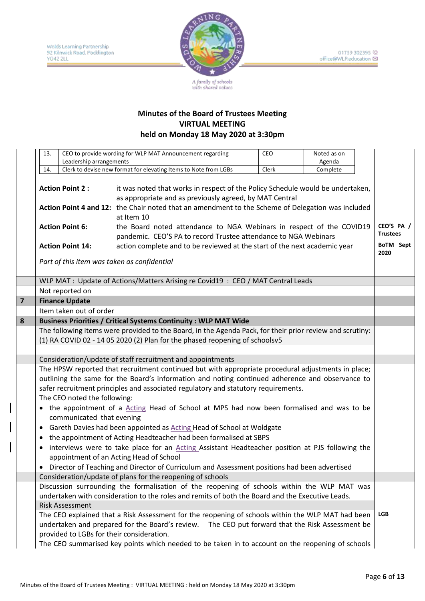

|                | 13.                                                                                                      | Leadership arrangements      | CEO to provide wording for WLP MAT Announcement regarding                                                                                                    | CEO.  | Noted as on<br>Agenda |  |                               |
|----------------|----------------------------------------------------------------------------------------------------------|------------------------------|--------------------------------------------------------------------------------------------------------------------------------------------------------------|-------|-----------------------|--|-------------------------------|
|                | 14.                                                                                                      |                              | Clerk to devise new format for elevating Items to Note from LGBs                                                                                             | Clerk | Complete              |  |                               |
|                |                                                                                                          |                              |                                                                                                                                                              |       |                       |  |                               |
|                | <b>Action Point 2:</b>                                                                                   |                              | it was noted that works in respect of the Policy Schedule would be undertaken,                                                                               |       |                       |  |                               |
|                |                                                                                                          |                              | as appropriate and as previously agreed, by MAT Central                                                                                                      |       |                       |  |                               |
|                | <b>Action Point 6:</b>                                                                                   |                              | Action Point 4 and 12: the Chair noted that an amendment to the Scheme of Delegation was included<br>at Item 10                                              |       |                       |  |                               |
|                |                                                                                                          |                              | the Board noted attendance to NGA Webinars in respect of the COVID19<br>pandemic. CEO'S PA to record Trustee attendance to NGA Webinars                      |       |                       |  | CEO'S PA /<br><b>Trustees</b> |
|                |                                                                                                          | <b>Action Point 14:</b>      | action complete and to be reviewed at the start of the next academic year                                                                                    |       |                       |  | BoTM Sept<br>2020             |
|                |                                                                                                          |                              | Part of this item was taken as confidential                                                                                                                  |       |                       |  |                               |
|                |                                                                                                          |                              | WLP MAT : Update of Actions/Matters Arising re Covid19 : CEO / MAT Central Leads                                                                             |       |                       |  |                               |
|                |                                                                                                          | Not reported on              |                                                                                                                                                              |       |                       |  |                               |
| $\overline{7}$ |                                                                                                          | <b>Finance Update</b>        |                                                                                                                                                              |       |                       |  |                               |
|                |                                                                                                          | Item taken out of order      |                                                                                                                                                              |       |                       |  |                               |
| 8              |                                                                                                          |                              | <b>Business Priorities / Critical Systems Continuity: WLP MAT Wide</b>                                                                                       |       |                       |  |                               |
|                | The following items were provided to the Board, in the Agenda Pack, for their prior review and scrutiny: |                              |                                                                                                                                                              |       |                       |  |                               |
|                | (1) RA COVID 02 - 14 05 2020 (2) Plan for the phased reopening of schoolsv5                              |                              |                                                                                                                                                              |       |                       |  |                               |
|                |                                                                                                          |                              |                                                                                                                                                              |       |                       |  |                               |
|                | Consideration/update of staff recruitment and appointments                                               |                              |                                                                                                                                                              |       |                       |  |                               |
|                | The HPSW reported that recruitment continued but with appropriate procedural adjustments in place;       |                              |                                                                                                                                                              |       |                       |  |                               |
|                |                                                                                                          |                              | outlining the same for the Board's information and noting continued adherence and observance to                                                              |       |                       |  |                               |
|                |                                                                                                          | The CEO noted the following: | safer recruitment principles and associated regulatory and statutory requirements.                                                                           |       |                       |  |                               |
|                |                                                                                                          |                              | • the appointment of a Acting Head of School at MPS had now been formalised and was to be                                                                    |       |                       |  |                               |
|                |                                                                                                          | communicated that evening    |                                                                                                                                                              |       |                       |  |                               |
|                | $\bullet$                                                                                                |                              | Gareth Davies had been appointed as Acting Head of School at Woldgate                                                                                        |       |                       |  |                               |
|                | $\bullet$                                                                                                |                              | the appointment of Acting Headteacher had been formalised at SBPS                                                                                            |       |                       |  |                               |
|                |                                                                                                          |                              | interviews were to take place for an Acting Assistant Headteacher position at PJS following the                                                              |       |                       |  |                               |
|                |                                                                                                          |                              | appointment of an Acting Head of School                                                                                                                      |       |                       |  |                               |
|                |                                                                                                          |                              | • Director of Teaching and Director of Curriculum and Assessment positions had been advertised<br>Consideration/update of plans for the reopening of schools |       |                       |  |                               |
|                |                                                                                                          |                              | Discussion surrounding the formalisation of the reopening of schools within the WLP MAT was                                                                  |       |                       |  |                               |
|                |                                                                                                          |                              | undertaken with consideration to the roles and remits of both the Board and the Executive Leads.                                                             |       |                       |  |                               |
|                |                                                                                                          | <b>Risk Assessment</b>       |                                                                                                                                                              |       |                       |  |                               |
|                |                                                                                                          |                              | The CEO explained that a Risk Assessment for the reopening of schools within the WLP MAT had been                                                            |       |                       |  | <b>LGB</b>                    |
|                |                                                                                                          |                              | undertaken and prepared for the Board's review. The CEO put forward that the Risk Assessment be                                                              |       |                       |  |                               |
|                |                                                                                                          |                              | provided to LGBs for their consideration.                                                                                                                    |       |                       |  |                               |
|                |                                                                                                          |                              | The CEO summarised key points which needed to be taken in to account on the reopening of schools                                                             |       |                       |  |                               |
|                |                                                                                                          |                              |                                                                                                                                                              |       |                       |  |                               |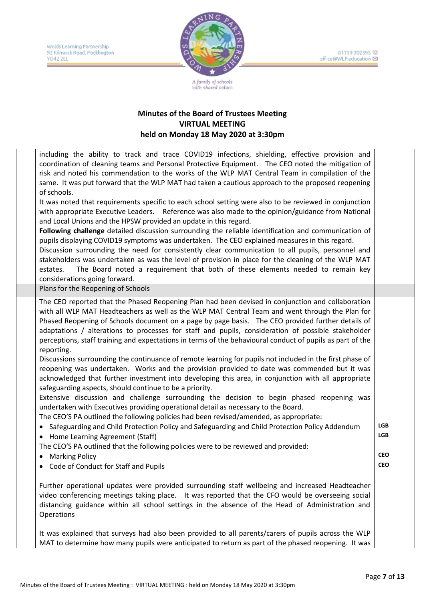Wolds Learning Partnership 92 Kilnwick Road, Pocklington YO42 2LL



01759 302395 (C) office@WLP.education

A family of schools ith shared values

#### **Minutes of the Board of Trustees Meeting VIRTUAL MEETING held on Monday 18 May 2020 at 3:30pm**

including the ability to track and trace COVID19 infections, shielding, effective provision and coordination of cleaning teams and Personal Protective Equipment. The CEO noted the mitigation of risk and noted his commendation to the works of the WLP MAT Central Team in compilation of the same. It was put forward that the WLP MAT had taken a cautious approach to the proposed reopening of schools.

It was noted that requirements specific to each school setting were also to be reviewed in conjunction with appropriate Executive Leaders. Reference was also made to the opinion/guidance from National and Local Unions and the HPSW provided an update in this regard.

**Following challenge** detailed discussion surrounding the reliable identification and communication of pupils displaying COVID19 symptoms was undertaken. The CEO explained measures in this regard.

Discussion surrounding the need for consistently clear communication to all pupils, personnel and stakeholders was undertaken as was the level of provision in place for the cleaning of the WLP MAT estates. The Board noted a requirement that both of these elements needed to remain key considerations going forward.

Plans for the Reopening of Schools

The CEO reported that the Phased Reopening Plan had been devised in conjunction and collaboration with all WLP MAT Headteachers as well as the WLP MAT Central Team and went through the Plan for Phased Reopening of Schools document on a page by page basis. The CEO provided further details of adaptations / alterations to processes for staff and pupils, consideration of possible stakeholder perceptions, staff training and expectations in terms of the behavioural conduct of pupils as part of the reporting.

Discussions surrounding the continuance of remote learning for pupils not included in the first phase of reopening was undertaken. Works and the provision provided to date was commended but it was acknowledged that further investment into developing this area, in conjunction with all appropriate safeguarding aspects, should continue to be a priority.

Extensive discussion and challenge surrounding the decision to begin phased reopening was undertaken with Executives providing operational detail as necessary to the Board.

The CEO'S PA outlined the following policies had been revised/amended, as appropriate:

- Safeguarding and Child Protection Policy and Safeguarding and Child Protection Policy Addendum **LGB**
- Home Learning Agreement (Staff) **LGB**

The CEO'S PA outlined that the following policies were to be reviewed and provided:

- Marking Policy
- Code of Conduct for Staff and Pupils **CEO**

Further operational updates were provided surrounding staff wellbeing and increased Headteacher video conferencing meetings taking place. It was reported that the CFO would be overseeing social distancing guidance within all school settings in the absence of the Head of Administration and **Operations** 

It was explained that surveys had also been provided to all parents/carers of pupils across the WLP MAT to determine how many pupils were anticipated to return as part of the phased reopening. It was

**CEO**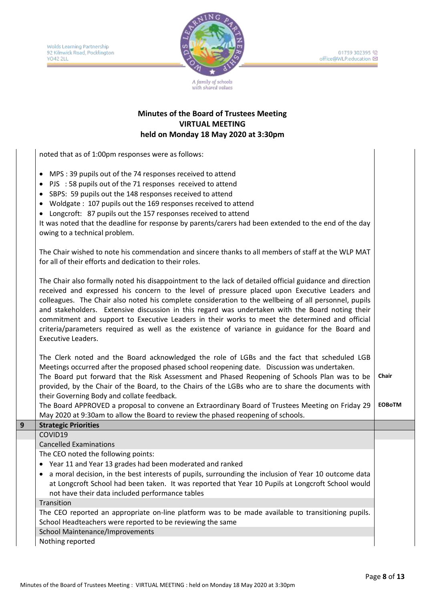

#### **Minutes of the Board of Trustees Meeting VIRTUAL MEETING held on Monday 18 May 2020 at 3:30pm**

noted that as of 1:00pm responses were as follows:

- MPS : 39 pupils out of the 74 responses received to attend
- PJS : 58 pupils out of the 71 responses received to attend
- SBPS: 59 pupils out the 148 responses received to attend
- Woldgate : 107 pupils out the 169 responses received to attend
- Longcroft: 87 pupils out the 157 responses received to attend

It was noted that the deadline for response by parents/carers had been extended to the end of the day owing to a technical problem.

The Chair wished to note his commendation and sincere thanks to all members of staff at the WLP MAT for all of their efforts and dedication to their roles.

The Chair also formally noted his disappointment to the lack of detailed official guidance and direction received and expressed his concern to the level of pressure placed upon Executive Leaders and colleagues. The Chair also noted his complete consideration to the wellbeing of all personnel, pupils and stakeholders. Extensive discussion in this regard was undertaken with the Board noting their commitment and support to Executive Leaders in their works to meet the determined and official criteria/parameters required as well as the existence of variance in guidance for the Board and Executive Leaders.

The Clerk noted and the Board acknowledged the role of LGBs and the fact that scheduled LGB Meetings occurred after the proposed phased school reopening date. Discussion was undertaken. The Board put forward that the Risk Assessment and Phased Reopening of Schools Plan was to be provided, by the Chair of the Board, to the Chairs of the LGBs who are to share the documents with their Governing Body and collate feedback. **Chair** 

The Board APPROVED a proposal to convene an Extraordinary Board of Trustees Meeting on Friday 29 May 2020 at 9:30am to allow the Board to review the phased reopening of schools. **EOBoTM**

| inay 2020 at 3.30am to allow the Board to review the phased reopening or schools.                                                                                                                                                                              |
|----------------------------------------------------------------------------------------------------------------------------------------------------------------------------------------------------------------------------------------------------------------|
| <b>Strategic Priorities</b>                                                                                                                                                                                                                                    |
| COVID19                                                                                                                                                                                                                                                        |
| <b>Cancelled Examinations</b>                                                                                                                                                                                                                                  |
| The CEO noted the following points:                                                                                                                                                                                                                            |
| • Year 11 and Year 13 grades had been moderated and ranked                                                                                                                                                                                                     |
| • a moral decision, in the best interests of pupils, surrounding the inclusion of Year 10 outcome data<br>at Longcroft School had been taken. It was reported that Year 10 Pupils at Longcroft School would<br>not have their data included performance tables |
| Transition                                                                                                                                                                                                                                                     |
| The CEO reported an appropriate on-line platform was to be made available to transitioning pupils.<br>School Headteachers were reported to be reviewing the same                                                                                               |
| <b>School Maintenance/Improvements</b>                                                                                                                                                                                                                         |
| Nothing reported                                                                                                                                                                                                                                               |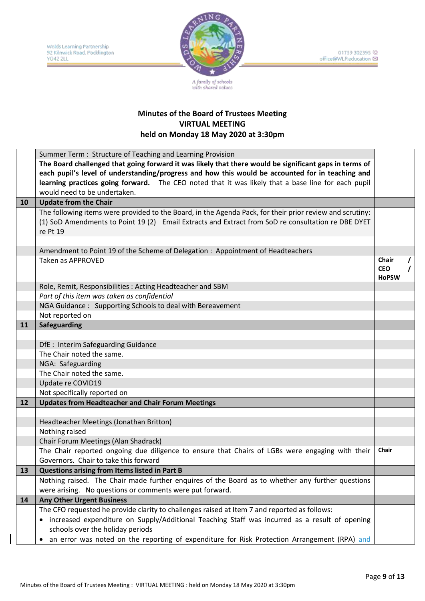

|    | Summer Term: Structure of Teaching and Learning Provision                                                                                |                            |          |
|----|------------------------------------------------------------------------------------------------------------------------------------------|----------------------------|----------|
|    | The Board challenged that going forward it was likely that there would be significant gaps in terms of                                   |                            |          |
|    | each pupil's level of understanding/progress and how this would be accounted for in teaching and                                         |                            |          |
|    | learning practices going forward. The CEO noted that it was likely that a base line for each pupil                                       |                            |          |
|    | would need to be undertaken.                                                                                                             |                            |          |
| 10 | <b>Update from the Chair</b>                                                                                                             |                            |          |
|    | The following items were provided to the Board, in the Agenda Pack, for their prior review and scrutiny:                                 |                            |          |
|    | (1) SoD Amendments to Point 19 (2) Email Extracts and Extract from SoD re consultation re DBE DYET                                       |                            |          |
|    | re Pt 19                                                                                                                                 |                            |          |
|    |                                                                                                                                          |                            |          |
|    | Amendment to Point 19 of the Scheme of Delegation : Appointment of Headteachers                                                          |                            |          |
|    | <b>Taken as APPROVED</b>                                                                                                                 | Chair                      | $\prime$ |
|    |                                                                                                                                          | <b>CEO</b><br><b>HoPSW</b> |          |
|    | Role, Remit, Responsibilities: Acting Headteacher and SBM                                                                                |                            |          |
|    | Part of this item was taken as confidential                                                                                              |                            |          |
|    | NGA Guidance: Supporting Schools to deal with Bereavement                                                                                |                            |          |
|    | Not reported on                                                                                                                          |                            |          |
| 11 | <b>Safeguarding</b>                                                                                                                      |                            |          |
|    |                                                                                                                                          |                            |          |
|    | DfE : Interim Safeguarding Guidance                                                                                                      |                            |          |
|    | The Chair noted the same.                                                                                                                |                            |          |
|    | NGA: Safeguarding                                                                                                                        |                            |          |
|    | The Chair noted the same.                                                                                                                |                            |          |
|    | Update re COVID19                                                                                                                        |                            |          |
|    | Not specifically reported on                                                                                                             |                            |          |
| 12 | <b>Updates from Headteacher and Chair Forum Meetings</b>                                                                                 |                            |          |
|    |                                                                                                                                          |                            |          |
|    | Headteacher Meetings (Jonathan Britton)                                                                                                  |                            |          |
|    | Nothing raised                                                                                                                           |                            |          |
|    | Chair Forum Meetings (Alan Shadrack)                                                                                                     | Chair                      |          |
|    | The Chair reported ongoing due diligence to ensure that Chairs of LGBs were engaging with their<br>Governors. Chair to take this forward |                            |          |
| 13 | Questions arising from Items listed in Part B                                                                                            |                            |          |
|    | Nothing raised. The Chair made further enquires of the Board as to whether any further questions                                         |                            |          |
|    | were arising. No questions or comments were put forward.                                                                                 |                            |          |
| 14 | <b>Any Other Urgent Business</b>                                                                                                         |                            |          |
|    | The CFO requested he provide clarity to challenges raised at Item 7 and reported as follows:                                             |                            |          |
|    | increased expenditure on Supply/Additional Teaching Staff was incurred as a result of opening                                            |                            |          |
|    | schools over the holiday periods                                                                                                         |                            |          |
|    | an error was noted on the reporting of expenditure for Risk Protection Arrangement (RPA) and<br>$\bullet$                                |                            |          |
|    |                                                                                                                                          |                            |          |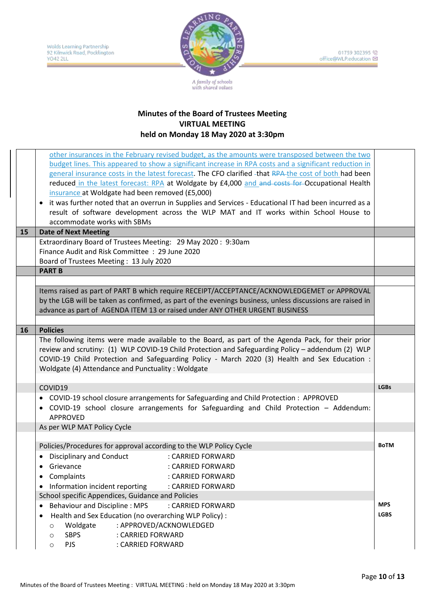

|    | other insurances in the February revised budget, as the amounts were transposed between the two<br>budget lines. This appeared to show a significant increase in RPA costs and a significant reduction in<br>general insurance costs in the latest forecast. The CFO clarified -that RPA-the cost of both had been<br>reduced in the latest forecast: RPA at Woldgate by £4,000 and and costs for Occupational Health<br>insurance at Woldgate had been removed (£5,000)<br>it was further noted that an overrun in Supplies and Services - Educational IT had been incurred as a<br>٠<br>result of software development across the WLP MAT and IT works within School House to<br>accommodate works with SBMs |             |  |  |  |  |
|----|----------------------------------------------------------------------------------------------------------------------------------------------------------------------------------------------------------------------------------------------------------------------------------------------------------------------------------------------------------------------------------------------------------------------------------------------------------------------------------------------------------------------------------------------------------------------------------------------------------------------------------------------------------------------------------------------------------------|-------------|--|--|--|--|
| 15 | <b>Date of Next Meeting</b>                                                                                                                                                                                                                                                                                                                                                                                                                                                                                                                                                                                                                                                                                    |             |  |  |  |  |
|    | Extraordinary Board of Trustees Meeting: 29 May 2020: 9:30am<br>Finance Audit and Risk Committee : 29 June 2020<br>Board of Trustees Meeting: 13 July 2020                                                                                                                                                                                                                                                                                                                                                                                                                                                                                                                                                     |             |  |  |  |  |
|    | <b>PART B</b>                                                                                                                                                                                                                                                                                                                                                                                                                                                                                                                                                                                                                                                                                                  |             |  |  |  |  |
|    | Items raised as part of PART B which require RECEIPT/ACCEPTANCE/ACKNOWLEDGEMET or APPROVAL<br>by the LGB will be taken as confirmed, as part of the evenings business, unless discussions are raised in<br>advance as part of AGENDA ITEM 13 or raised under ANY OTHER URGENT BUSINESS                                                                                                                                                                                                                                                                                                                                                                                                                         |             |  |  |  |  |
| 16 | <b>Policies</b>                                                                                                                                                                                                                                                                                                                                                                                                                                                                                                                                                                                                                                                                                                |             |  |  |  |  |
|    | The following items were made available to the Board, as part of the Agenda Pack, for their prior<br>review and scrutiny: (1) WLP COVID-19 Child Protection and Safeguarding Policy - addendum (2) WLP<br>COVID-19 Child Protection and Safeguarding Policy - March 2020 (3) Health and Sex Education :<br>Woldgate (4) Attendance and Punctuality: Woldgate                                                                                                                                                                                                                                                                                                                                                   |             |  |  |  |  |
|    | COVID19                                                                                                                                                                                                                                                                                                                                                                                                                                                                                                                                                                                                                                                                                                        |             |  |  |  |  |
|    | • COVID-19 school closure arrangements for Safeguarding and Child Protection : APPROVED<br>COVID-19 school closure arrangements for Safeguarding and Child Protection - Addendum:<br><b>APPROVED</b>                                                                                                                                                                                                                                                                                                                                                                                                                                                                                                           |             |  |  |  |  |
|    | As per WLP MAT Policy Cycle                                                                                                                                                                                                                                                                                                                                                                                                                                                                                                                                                                                                                                                                                    |             |  |  |  |  |
|    | Policies/Procedures for approval according to the WLP Policy Cycle<br><b>Disciplinary and Conduct</b><br>: CARRIED FORWARD<br>: CARRIED FORWARD<br>Grievance<br>Complaints<br>: CARRIED FORWARD<br>Information incident reporting<br>: CARRIED FORWARD<br>$\bullet$<br>School specific Appendices, Guidance and Policies                                                                                                                                                                                                                                                                                                                                                                                       | <b>BoTM</b> |  |  |  |  |
|    | <b>Behaviour and Discipline: MPS</b><br>: CARRIED FORWARD                                                                                                                                                                                                                                                                                                                                                                                                                                                                                                                                                                                                                                                      | <b>MPS</b>  |  |  |  |  |
|    | Health and Sex Education (no overarching WLP Policy) :<br>Woldgate<br>: APPROVED/ACKNOWLEDGED<br>$\circ$<br><b>SBPS</b><br>: CARRIED FORWARD<br>$\circ$<br><b>PJS</b><br>: CARRIED FORWARD<br>$\circ$                                                                                                                                                                                                                                                                                                                                                                                                                                                                                                          | <b>LGBS</b> |  |  |  |  |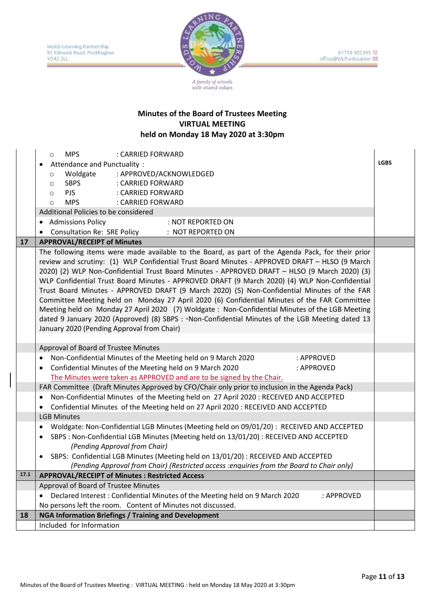

|      | <b>MPS</b><br>: CARRIED FORWARD<br>$\circ$                                                             |             |
|------|--------------------------------------------------------------------------------------------------------|-------------|
|      | Attendance and Punctuality:                                                                            | <b>LGBS</b> |
|      | : APPROVED/ACKNOWLEDGED<br>Woldgate<br>$\circ$                                                         |             |
|      | SBPS : CARRIED FORWARD<br>$\circ$                                                                      |             |
|      | <b>PJS</b><br>: CARRIED FORWARD<br>$\circ$                                                             |             |
|      | <b>MPS</b><br>: CARRIED FORWARD<br>$\circ$                                                             |             |
|      | Additional Policies to be considered                                                                   |             |
|      | • Admissions Policy<br>: NOT REPORTED ON                                                               |             |
|      | • Consultation Re: SRE Policy<br>: NOT REPORTED ON                                                     |             |
| 17   | <b>APPROVAL/RECEIPT of Minutes</b>                                                                     |             |
|      | The following items were made available to the Board, as part of the Agenda Pack, for their prior      |             |
|      | review and scrutiny: (1) WLP Confidential Trust Board Minutes - APPROVED DRAFT - HLSO (9 March         |             |
|      | 2020) (2) WLP Non-Confidential Trust Board Minutes - APPROVED DRAFT - HLSO (9 March 2020) (3)          |             |
|      | WLP Confidential Trust Board Minutes - APPROVED DRAFT (9 March 2020) (4) WLP Non-Confidential          |             |
|      | Trust Board Minutes - APPROVED DRAFT (9 March 2020) (5) Non-Confidential Minutes of the FAR            |             |
|      | Committee Meeting held on Monday 27 April 2020 (6) Confidential Minutes of the FAR Committee           |             |
|      | Meeting held on Monday 27 April 2020 (7) Woldgate: Non-Confidential Minutes of the LGB Meeting         |             |
|      | dated 9 January 2020 (Approved) (8) SBPS : . Non-Confidential Minutes of the LGB Meeting dated 13      |             |
|      | January 2020 (Pending Approval from Chair)                                                             |             |
|      |                                                                                                        |             |
|      | Approval of Board of Trustee Minutes                                                                   |             |
|      | Non-Confidential Minutes of the Meeting held on 9 March 2020<br>: APPROVED                             |             |
|      | Confidential Minutes of the Meeting held on 9 March 2020<br>: APPROVED                                 |             |
|      | The Minutes were taken as APPROVED and are to be signed by the Chair.                                  |             |
|      | FAR Committee (Draft Minutes Approved by CFO/Chair only prior to inclusion in the Agenda Pack)         |             |
|      | Non-Confidential Minutes of the Meeting held on 27 April 2020 : RECEIVED AND ACCEPTED<br>٠             |             |
|      | Confidential Minutes of the Meeting held on 27 April 2020 : RECEIVED AND ACCEPTED                      |             |
|      | <b>LGB Minutes</b>                                                                                     |             |
|      | Woldgate: Non-Confidential LGB Minutes (Meeting held on 09/01/20) : RECEIVED AND ACCEPTED<br>$\bullet$ |             |
|      | SBPS : Non-Confidential LGB Minutes (Meeting held on 13/01/20) : RECEIVED AND ACCEPTED<br>$\bullet$    |             |
|      | (Pending Approval from Chair)                                                                          |             |
|      | SBPS: Confidential LGB Minutes (Meeting held on 13/01/20) : RECEIVED AND ACCEPTED                      |             |
|      | (Pending Approval from Chair) (Restricted access : enquiries from the Board to Chair only)             |             |
| 17.1 | <b>APPROVAL/RECEIPT of Minutes : Restricted Access</b>                                                 |             |
|      | Approval of Board of Trustee Minutes                                                                   |             |
|      | Declared Interest: Confidential Minutes of the Meeting held on 9 March 2020<br>: APPROVED              |             |
|      | No persons left the room. Content of Minutes not discussed.                                            |             |
| 18   | <b>NGA Information Briefings / Training and Development</b>                                            |             |
|      | Included for Information                                                                               |             |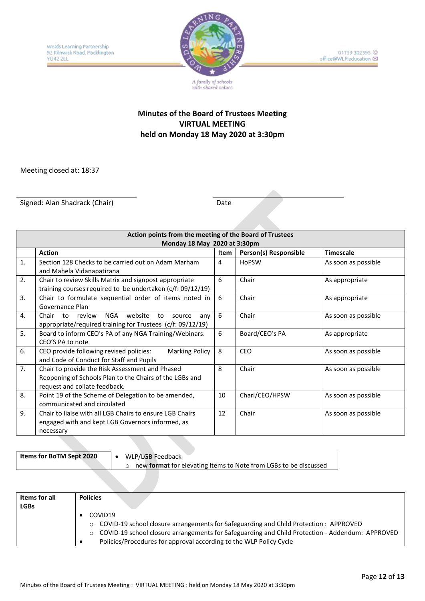

01759 302395 office@WLP.education

## **Minutes of the Board of Trustees Meeting VIRTUAL MEETING held on Monday 18 May 2020 at 3:30pm**

Meeting closed at: 18:37

Signed: Alan Shadrack (Chair) Date

|    | Action points from the meeting of the Board of Trustees                                                                                     |      |                       |                     |  |  |  |  |  |
|----|---------------------------------------------------------------------------------------------------------------------------------------------|------|-----------------------|---------------------|--|--|--|--|--|
|    | Monday 18 May 2020 at 3:30pm                                                                                                                |      |                       |                     |  |  |  |  |  |
|    | <b>Action</b>                                                                                                                               | Item | Person(s) Responsible | <b>Timescale</b>    |  |  |  |  |  |
| 1. | Section 128 Checks to be carried out on Adam Marham<br>and Mahela Vidanapatirana                                                            | 4    | <b>HoPSW</b>          | As soon as possible |  |  |  |  |  |
| 2. | Chair to review Skills Matrix and signpost appropriate<br>training courses required to be undertaken $(c/f: 09/12/19)$                      | 6    | Chair                 | As appropriate      |  |  |  |  |  |
| 3. | Chair to formulate sequential order of items noted in<br>Governance Plan                                                                    | 6    | Chair                 | As appropriate      |  |  |  |  |  |
| 4. | NGA<br>website<br>Chair<br>to<br>review<br>to<br>source<br>anv<br>appropriate/required training for Trustees (c/f: 09/12/19)                | 6    | Chair                 | As soon as possible |  |  |  |  |  |
| 5. | Board to inform CEO's PA of any NGA Training/Webinars.<br>CEO'S PA to note                                                                  | 6    | Board/CEO's PA        | As appropriate      |  |  |  |  |  |
| 6. | CEO provide following revised policies:<br>Marking Policy<br>and Code of Conduct for Staff and Pupils                                       | 8    | CEO                   | As soon as possible |  |  |  |  |  |
| 7. | Chair to provide the Risk Assessment and Phased<br>Reopening of Schools Plan to the Chairs of the LGBs and<br>request and collate feedback. | 8    | Chair                 | As soon as possible |  |  |  |  |  |
| 8. | Point 19 of the Scheme of Delegation to be amended,<br>communicated and circulated                                                          | 10   | Chari/CEO/HPSW        | As soon as possible |  |  |  |  |  |
| 9. | Chair to liaise with all LGB Chairs to ensure LGB Chairs<br>engaged with and kept LGB Governors informed, as<br>necessary                   | 12   | Chair                 | As soon as possible |  |  |  |  |  |

**Items for BoTM Sept 2020** . WLP/LGB Feedback

o new **format** for elevating Items to Note from LGBs to be discussed

| <b>Items for all</b><br><b>LGBs</b> | <b>Policies</b>                                                                                                                                                                                                                                                                                           |
|-------------------------------------|-----------------------------------------------------------------------------------------------------------------------------------------------------------------------------------------------------------------------------------------------------------------------------------------------------------|
|                                     | COVID19<br>$\circ$ COVID-19 school closure arrangements for Safeguarding and Child Protection : APPROVED<br>COVID-19 school closure arrangements for Safeguarding and Child Protection - Addendum: APPROVED<br>$\circ$<br>Policies/Procedures for approval according to the WLP Policy Cycle<br>$\bullet$ |